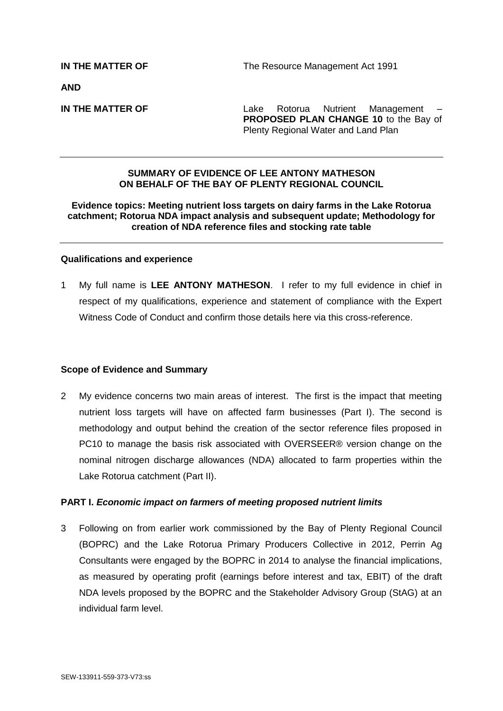**AND**

**IN THE MATTER OF THE Lake Rotorua** Nutrient Management **PROPOSED PLAN CHANGE 10** to the Bay of Plenty Regional Water and Land Plan

# **SUMMARY OF EVIDENCE OF LEE ANTONY MATHESON ON BEHALF OF THE BAY OF PLENTY REGIONAL COUNCIL**

## **Evidence topics: Meeting nutrient loss targets on dairy farms in the Lake Rotorua catchment; Rotorua NDA impact analysis and subsequent update; Methodology for creation of NDA reference files and stocking rate table**

#### **Qualifications and experience**

1 My full name is **LEE ANTONY MATHESON**. I refer to my full evidence in chief in respect of my qualifications, experience and statement of compliance with the Expert Witness Code of Conduct and confirm those details here via this cross-reference.

#### **Scope of Evidence and Summary**

2 My evidence concerns two main areas of interest. The first is the impact that meeting nutrient loss targets will have on affected farm businesses (Part I). The second is methodology and output behind the creation of the sector reference files proposed in PC10 to manage the basis risk associated with OVERSEER® version change on the nominal nitrogen discharge allowances (NDA) allocated to farm properties within the Lake Rotorua catchment (Part II).

# **PART I.** *Economic impact on farmers of meeting proposed nutrient limits*

3 Following on from earlier work commissioned by the Bay of Plenty Regional Council (BOPRC) and the Lake Rotorua Primary Producers Collective in 2012, Perrin Ag Consultants were engaged by the BOPRC in 2014 to analyse the financial implications, as measured by operating profit (earnings before interest and tax, EBIT) of the draft NDA levels proposed by the BOPRC and the Stakeholder Advisory Group (StAG) at an individual farm level.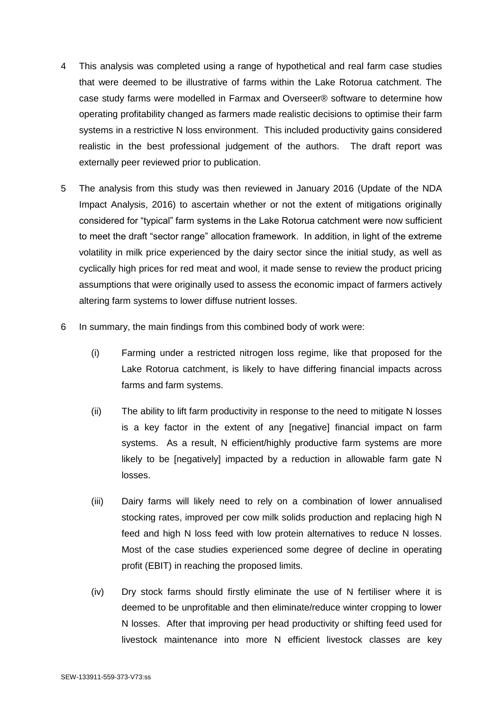- 4 This analysis was completed using a range of hypothetical and real farm case studies that were deemed to be illustrative of farms within the Lake Rotorua catchment. The case study farms were modelled in Farmax and Overseer® software to determine how operating profitability changed as farmers made realistic decisions to optimise their farm systems in a restrictive N loss environment. This included productivity gains considered realistic in the best professional judgement of the authors. The draft report was externally peer reviewed prior to publication.
- 5 The analysis from this study was then reviewed in January 2016 (Update of the NDA Impact Analysis, 2016) to ascertain whether or not the extent of mitigations originally considered for "typical" farm systems in the Lake Rotorua catchment were now sufficient to meet the draft "sector range" allocation framework. In addition, in light of the extreme volatility in milk price experienced by the dairy sector since the initial study, as well as cyclically high prices for red meat and wool, it made sense to review the product pricing assumptions that were originally used to assess the economic impact of farmers actively altering farm systems to lower diffuse nutrient losses.
- 6 In summary, the main findings from this combined body of work were:
	- (i) Farming under a restricted nitrogen loss regime, like that proposed for the Lake Rotorua catchment, is likely to have differing financial impacts across farms and farm systems.
	- (ii) The ability to lift farm productivity in response to the need to mitigate N losses is a key factor in the extent of any [negative] financial impact on farm systems. As a result, N efficient/highly productive farm systems are more likely to be inegatively impacted by a reduction in allowable farm gate N losses.
	- (iii) Dairy farms will likely need to rely on a combination of lower annualised stocking rates, improved per cow milk solids production and replacing high N feed and high N loss feed with low protein alternatives to reduce N losses. Most of the case studies experienced some degree of decline in operating profit (EBIT) in reaching the proposed limits.
	- (iv) Dry stock farms should firstly eliminate the use of N fertiliser where it is deemed to be unprofitable and then eliminate/reduce winter cropping to lower N losses. After that improving per head productivity or shifting feed used for livestock maintenance into more N efficient livestock classes are key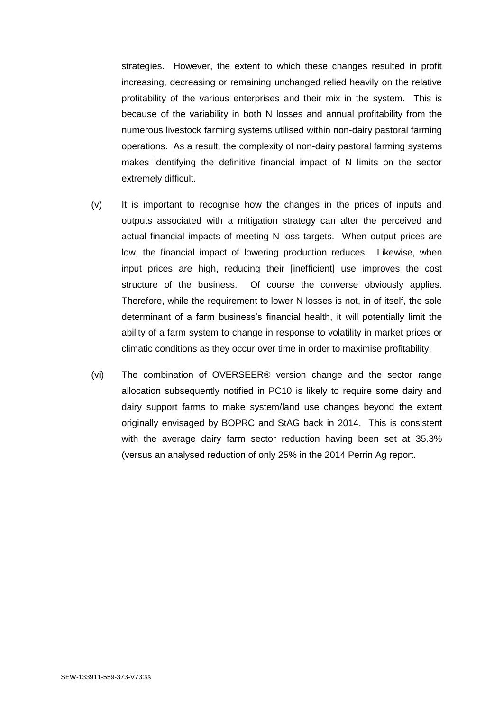strategies. However, the extent to which these changes resulted in profit increasing, decreasing or remaining unchanged relied heavily on the relative profitability of the various enterprises and their mix in the system. This is because of the variability in both N losses and annual profitability from the numerous livestock farming systems utilised within non-dairy pastoral farming operations. As a result, the complexity of non-dairy pastoral farming systems makes identifying the definitive financial impact of N limits on the sector extremely difficult.

- (v) It is important to recognise how the changes in the prices of inputs and outputs associated with a mitigation strategy can alter the perceived and actual financial impacts of meeting N loss targets. When output prices are low, the financial impact of lowering production reduces. Likewise, when input prices are high, reducing their [inefficient] use improves the cost structure of the business. Of course the converse obviously applies. Therefore, while the requirement to lower N losses is not, in of itself, the sole determinant of a farm business's financial health, it will potentially limit the ability of a farm system to change in response to volatility in market prices or climatic conditions as they occur over time in order to maximise profitability.
- (vi) The combination of OVERSEER® version change and the sector range allocation subsequently notified in PC10 is likely to require some dairy and dairy support farms to make system/land use changes beyond the extent originally envisaged by BOPRC and StAG back in 2014. This is consistent with the average dairy farm sector reduction having been set at 35.3% (versus an analysed reduction of only 25% in the 2014 Perrin Ag report.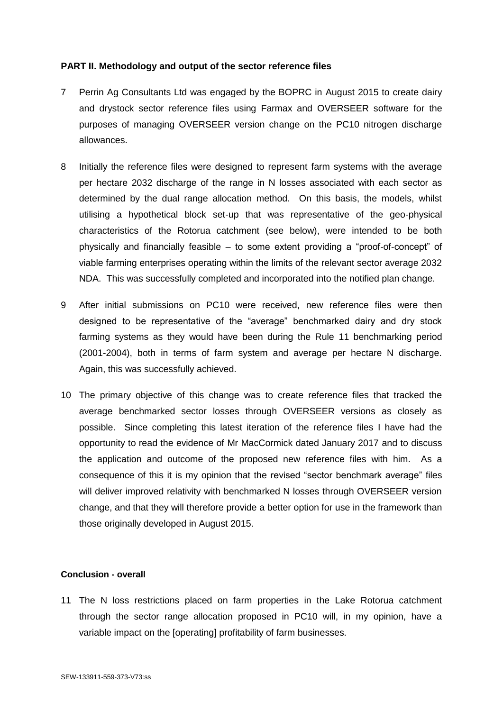# **PART II. Methodology and output of the sector reference files**

- 7 Perrin Ag Consultants Ltd was engaged by the BOPRC in August 2015 to create dairy and drystock sector reference files using Farmax and OVERSEER software for the purposes of managing OVERSEER version change on the PC10 nitrogen discharge allowances.
- 8 Initially the reference files were designed to represent farm systems with the average per hectare 2032 discharge of the range in N losses associated with each sector as determined by the dual range allocation method. On this basis, the models, whilst utilising a hypothetical block set-up that was representative of the geo-physical characteristics of the Rotorua catchment (see below), were intended to be both physically and financially feasible – to some extent providing a "proof-of-concept" of viable farming enterprises operating within the limits of the relevant sector average 2032 NDA. This was successfully completed and incorporated into the notified plan change.
- 9 After initial submissions on PC10 were received, new reference files were then designed to be representative of the "average" benchmarked dairy and dry stock farming systems as they would have been during the Rule 11 benchmarking period (2001-2004), both in terms of farm system and average per hectare N discharge. Again, this was successfully achieved.
- 10 The primary objective of this change was to create reference files that tracked the average benchmarked sector losses through OVERSEER versions as closely as possible. Since completing this latest iteration of the reference files I have had the opportunity to read the evidence of Mr MacCormick dated January 2017 and to discuss the application and outcome of the proposed new reference files with him. As a consequence of this it is my opinion that the revised "sector benchmark average" files will deliver improved relativity with benchmarked N losses through OVERSEER version change, and that they will therefore provide a better option for use in the framework than those originally developed in August 2015.

### **Conclusion - overall**

11 The N loss restrictions placed on farm properties in the Lake Rotorua catchment through the sector range allocation proposed in PC10 will, in my opinion, have a variable impact on the [operating] profitability of farm businesses.